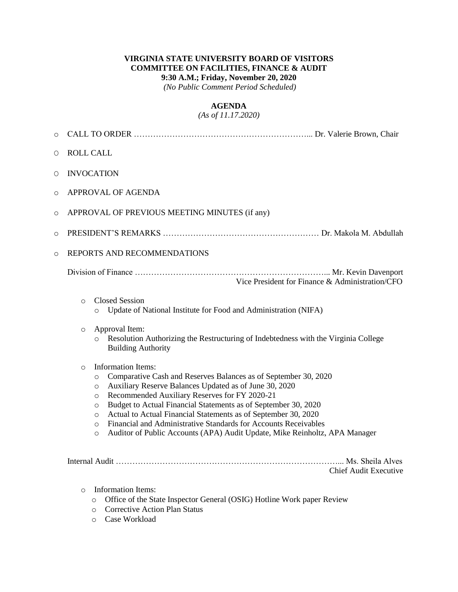#### **VIRGINIA STATE UNIVERSITY BOARD OF VISITORS COMMITTEE ON FACILITIES, FINANCE & AUDIT 9:30 A.M.; Friday, November 20, 2020**

*(No Public Comment Period Scheduled)*

#### **AGENDA**

*(As of 11.17.2020)*

| $\circ$                                                                                                                    |                                                                                                                                                                                                                                                                                                                                                                                                                                                                                                                                                                                |  |  |  |
|----------------------------------------------------------------------------------------------------------------------------|--------------------------------------------------------------------------------------------------------------------------------------------------------------------------------------------------------------------------------------------------------------------------------------------------------------------------------------------------------------------------------------------------------------------------------------------------------------------------------------------------------------------------------------------------------------------------------|--|--|--|
| O                                                                                                                          | <b>ROLL CALL</b>                                                                                                                                                                                                                                                                                                                                                                                                                                                                                                                                                               |  |  |  |
| O                                                                                                                          | <b>INVOCATION</b>                                                                                                                                                                                                                                                                                                                                                                                                                                                                                                                                                              |  |  |  |
| $\circ$                                                                                                                    | APPROVAL OF AGENDA                                                                                                                                                                                                                                                                                                                                                                                                                                                                                                                                                             |  |  |  |
| $\circ$                                                                                                                    | APPROVAL OF PREVIOUS MEETING MINUTES (if any)                                                                                                                                                                                                                                                                                                                                                                                                                                                                                                                                  |  |  |  |
| $\circ$                                                                                                                    |                                                                                                                                                                                                                                                                                                                                                                                                                                                                                                                                                                                |  |  |  |
| $\circ$                                                                                                                    | REPORTS AND RECOMMENDATIONS                                                                                                                                                                                                                                                                                                                                                                                                                                                                                                                                                    |  |  |  |
|                                                                                                                            | Vice President for Finance & Administration/CFO                                                                                                                                                                                                                                                                                                                                                                                                                                                                                                                                |  |  |  |
|                                                                                                                            | <b>Closed Session</b><br>$\circ$<br>Update of National Institute for Food and Administration (NIFA)<br>$\circ$                                                                                                                                                                                                                                                                                                                                                                                                                                                                 |  |  |  |
|                                                                                                                            | Approval Item:<br>$\circ$<br>Resolution Authorizing the Restructuring of Indebtedness with the Virginia College<br>$\circ$<br><b>Building Authority</b>                                                                                                                                                                                                                                                                                                                                                                                                                        |  |  |  |
|                                                                                                                            | Information Items:<br>$\Omega$<br>Comparative Cash and Reserves Balances as of September 30, 2020<br>$\circ$<br>Auxiliary Reserve Balances Updated as of June 30, 2020<br>$\circ$<br>Recommended Auxiliary Reserves for FY 2020-21<br>$\circ$<br>Budget to Actual Financial Statements as of September 30, 2020<br>$\circ$<br>Actual to Actual Financial Statements as of September 30, 2020<br>$\circ$<br>Financial and Administrative Standards for Accounts Receivables<br>$\circ$<br>Auditor of Public Accounts (APA) Audit Update, Mike Reinholtz, APA Manager<br>$\circ$ |  |  |  |
| <b>Chief Audit Executive</b>                                                                                               |                                                                                                                                                                                                                                                                                                                                                                                                                                                                                                                                                                                |  |  |  |
| <b>Information Items:</b><br>$\circ$<br>Office of the State Inspector General (OSIG) Hotline Work paper Review<br>$\Omega$ |                                                                                                                                                                                                                                                                                                                                                                                                                                                                                                                                                                                |  |  |  |

- o Corrective Action Plan Status
- o Case Workload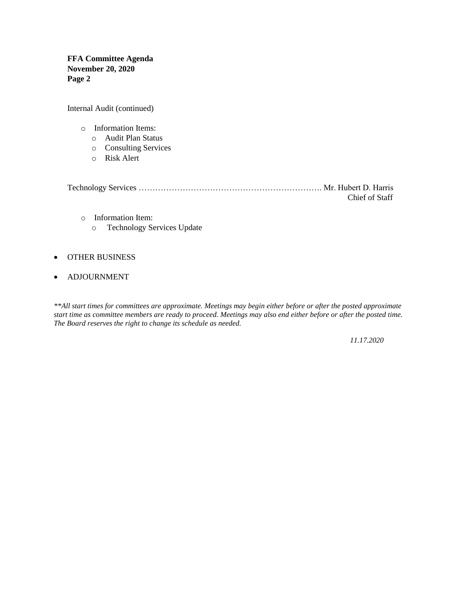**FFA Committee Agenda November 20, 2020 Page 2**

Internal Audit (continued)

- o Information Items:
	- o Audit Plan Status
	- o Consulting Services
	- o Risk Alert

|  | Chief of Staff |  |
|--|----------------|--|

- o Information Item:
	- o Technology Services Update

#### OTHER BUSINESS

ADJOURNMENT

*\*\*All start times for committees are approximate. Meetings may begin either before or after the posted approximate start time as committee members are ready to proceed. Meetings may also end either before or after the posted time. The Board reserves the right to change its schedule as needed.*

*11.17.2020*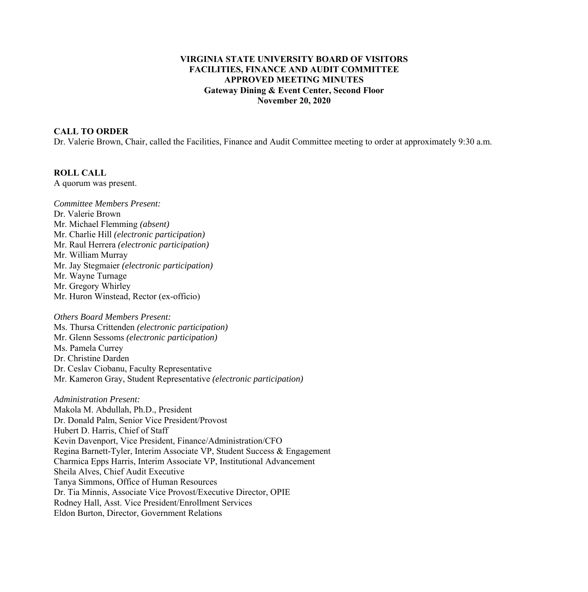## **VIRGINIA STATE UNIVERSITY BOARD OF VISITORS FACILITIES, FINANCE AND AUDIT COMMITTEE APPROVED MEETING MINUTES Gateway Dining & Event Center, Second Floor November 20, 2020**

## **CALL TO ORDER**

Dr. Valerie Brown, Chair, called the Facilities, Finance and Audit Committee meeting to order at approximately 9:30 a.m.

#### **ROLL CALL**

A quorum was present.

*Committee Members Present:*  Dr. Valerie Brown Mr. Michael Flemming *(absent)* Mr. Charlie Hill *(electronic participation)*  Mr. Raul Herrera *(electronic participation)*  Mr. William Murray Mr. Jay Stegmaier *(electronic participation)*  Mr. Wayne Turnage Mr. Gregory Whirley Mr. Huron Winstead, Rector (ex-officio)

# *Others Board Members Present:*  Ms. Thursa Crittenden *(electronic participation)* Mr. Glenn Sessoms *(electronic participation)* Ms. Pamela Currey Dr. Christine Darden Dr. Ceslav Ciobanu, Faculty Representative Mr. Kameron Gray, Student Representative *(electronic participation)*

*Administration Present:*  Makola M. Abdullah, Ph.D., President Dr. Donald Palm, Senior Vice President/Provost Hubert D. Harris, Chief of Staff Kevin Davenport, Vice President, Finance/Administration/CFO Regina Barnett-Tyler, Interim Associate VP, Student Success & Engagement Charmica Epps Harris, Interim Associate VP, Institutional Advancement Sheila Alves, Chief Audit Executive Tanya Simmons, Office of Human Resources Dr. Tia Minnis, Associate Vice Provost/Executive Director, OPIE Rodney Hall, Asst. Vice President/Enrollment Services Eldon Burton, Director, Government Relations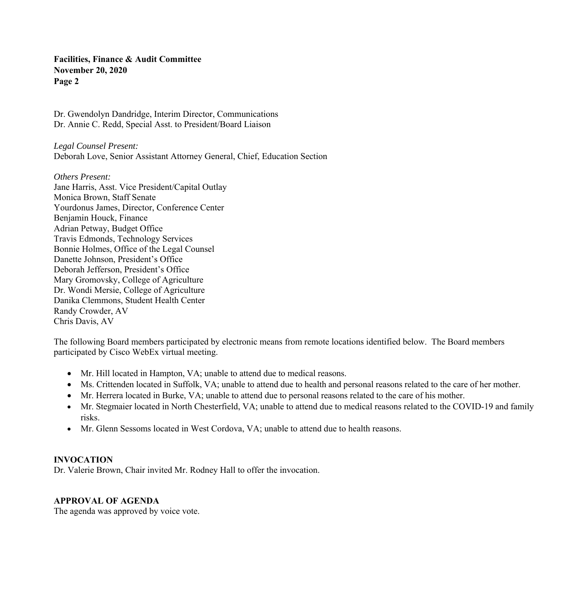Dr. Gwendolyn Dandridge, Interim Director, Communications Dr. Annie C. Redd, Special Asst. to President/Board Liaison

*Legal Counsel Present:*  Deborah Love, Senior Assistant Attorney General, Chief, Education Section

*Others Present:*  Jane Harris, Asst. Vice President/Capital Outlay Monica Brown, Staff Senate Yourdonus James, Director, Conference Center Benjamin Houck, Finance Adrian Petway, Budget Office Travis Edmonds, Technology Services Bonnie Holmes, Office of the Legal Counsel Danette Johnson, President's Office Deborah Jefferson, President's Office Mary Gromovsky, College of Agriculture Dr. Wondi Mersie, College of Agriculture Danika Clemmons, Student Health Center Randy Crowder, AV Chris Davis, AV

The following Board members participated by electronic means from remote locations identified below. The Board members participated by Cisco WebEx virtual meeting.

- Mr. Hill located in Hampton, VA; unable to attend due to medical reasons.
- Ms. Crittenden located in Suffolk, VA; unable to attend due to health and personal reasons related to the care of her mother.
- Mr. Herrera located in Burke, VA; unable to attend due to personal reasons related to the care of his mother.
- Mr. Stegmaier located in North Chesterfield, VA; unable to attend due to medical reasons related to the COVID-19 and family risks.
- Mr. Glenn Sessoms located in West Cordova, VA; unable to attend due to health reasons.

#### **INVOCATION**

Dr. Valerie Brown, Chair invited Mr. Rodney Hall to offer the invocation.

#### **APPROVAL OF AGENDA**

The agenda was approved by voice vote.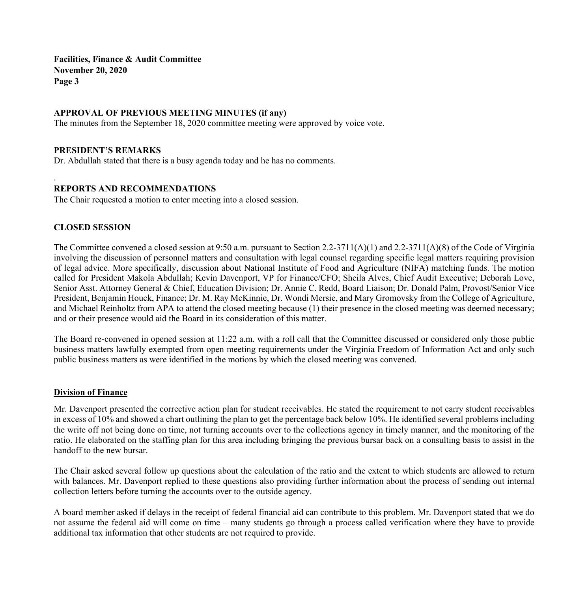## **APPROVAL OF PREVIOUS MEETING MINUTES (if any)**

The minutes from the September 18, 2020 committee meeting were approved by voice vote.

#### **PRESIDENT'S REMARKS**

Dr. Abdullah stated that there is a busy agenda today and he has no comments.

## **REPORTS AND RECOMMENDATIONS**

The Chair requested a motion to enter meeting into a closed session.

#### **CLOSED SESSION**

.

The Committee convened a closed session at 9:50 a.m. pursuant to Section 2.2-3711(A)(1) and 2.2-3711(A)(8) of the Code of Virginia involving the discussion of personnel matters and consultation with legal counsel regarding specific legal matters requiring provision of legal advice. More specifically, discussion about National Institute of Food and Agriculture (NIFA) matching funds. The motion called for President Makola Abdullah; Kevin Davenport, VP for Finance/CFO; Sheila Alves, Chief Audit Executive; Deborah Love, Senior Asst. Attorney General & Chief, Education Division; Dr. Annie C. Redd, Board Liaison; Dr. Donald Palm, Provost/Senior Vice President, Benjamin Houck, Finance; Dr. M. Ray McKinnie, Dr. Wondi Mersie, and Mary Gromovsky from the College of Agriculture, and Michael Reinholtz from APA to attend the closed meeting because (1) their presence in the closed meeting was deemed necessary; and or their presence would aid the Board in its consideration of this matter.

The Board re-convened in opened session at 11:22 a.m. with a roll call that the Committee discussed or considered only those public business matters lawfully exempted from open meeting requirements under the Virginia Freedom of Information Act and only such public business matters as were identified in the motions by which the closed meeting was convened.

#### **Division of Finance**

Mr. Davenport presented the corrective action plan for student receivables. He stated the requirement to not carry student receivables in excess of 10% and showed a chart outlining the plan to get the percentage back below 10%. He identified several problems including the write off not being done on time, not turning accounts over to the collections agency in timely manner, and the monitoring of the ratio. He elaborated on the staffing plan for this area including bringing the previous bursar back on a consulting basis to assist in the handoff to the new bursar.

The Chair asked several follow up questions about the calculation of the ratio and the extent to which students are allowed to return with balances. Mr. Davenport replied to these questions also providing further information about the process of sending out internal collection letters before turning the accounts over to the outside agency.

A board member asked if delays in the receipt of federal financial aid can contribute to this problem. Mr. Davenport stated that we do not assume the federal aid will come on time – many students go through a process called verification where they have to provide additional tax information that other students are not required to provide.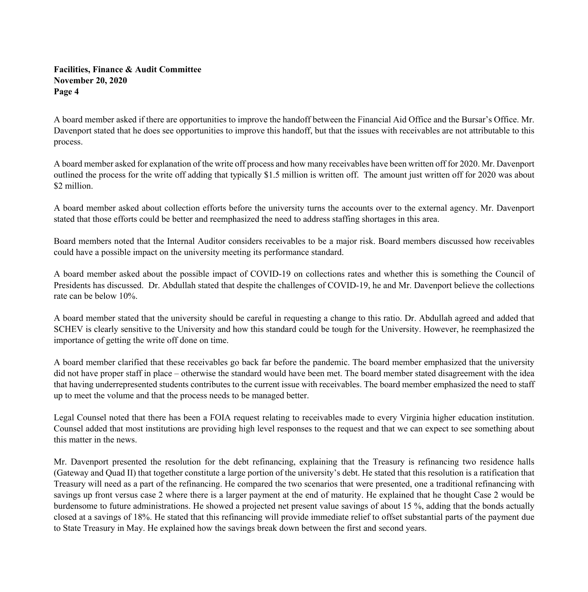A board member asked if there are opportunities to improve the handoff between the Financial Aid Office and the Bursar's Office. Mr. Davenport stated that he does see opportunities to improve this handoff, but that the issues with receivables are not attributable to this process.

A board member asked for explanation of the write off process and how many receivables have been written off for 2020. Mr. Davenport outlined the process for the write off adding that typically \$1.5 million is written off. The amount just written off for 2020 was about \$2 million.

A board member asked about collection efforts before the university turns the accounts over to the external agency. Mr. Davenport stated that those efforts could be better and reemphasized the need to address staffing shortages in this area.

Board members noted that the Internal Auditor considers receivables to be a major risk. Board members discussed how receivables could have a possible impact on the university meeting its performance standard.

A board member asked about the possible impact of COVID-19 on collections rates and whether this is something the Council of Presidents has discussed. Dr. Abdullah stated that despite the challenges of COVID-19, he and Mr. Davenport believe the collections rate can be below 10%.

A board member stated that the university should be careful in requesting a change to this ratio. Dr. Abdullah agreed and added that SCHEV is clearly sensitive to the University and how this standard could be tough for the University. However, he reemphasized the importance of getting the write off done on time.

A board member clarified that these receivables go back far before the pandemic. The board member emphasized that the university did not have proper staff in place – otherwise the standard would have been met. The board member stated disagreement with the idea that having underrepresented students contributes to the current issue with receivables. The board member emphasized the need to staff up to meet the volume and that the process needs to be managed better.

Legal Counsel noted that there has been a FOIA request relating to receivables made to every Virginia higher education institution. Counsel added that most institutions are providing high level responses to the request and that we can expect to see something about this matter in the news.

Mr. Davenport presented the resolution for the debt refinancing, explaining that the Treasury is refinancing two residence halls (Gateway and Quad II) that together constitute a large portion of the university's debt. He stated that this resolution is a ratification that Treasury will need as a part of the refinancing. He compared the two scenarios that were presented, one a traditional refinancing with savings up front versus case 2 where there is a larger payment at the end of maturity. He explained that he thought Case 2 would be burdensome to future administrations. He showed a projected net present value savings of about 15 %, adding that the bonds actually closed at a savings of 18%. He stated that this refinancing will provide immediate relief to offset substantial parts of the payment due to State Treasury in May. He explained how the savings break down between the first and second years.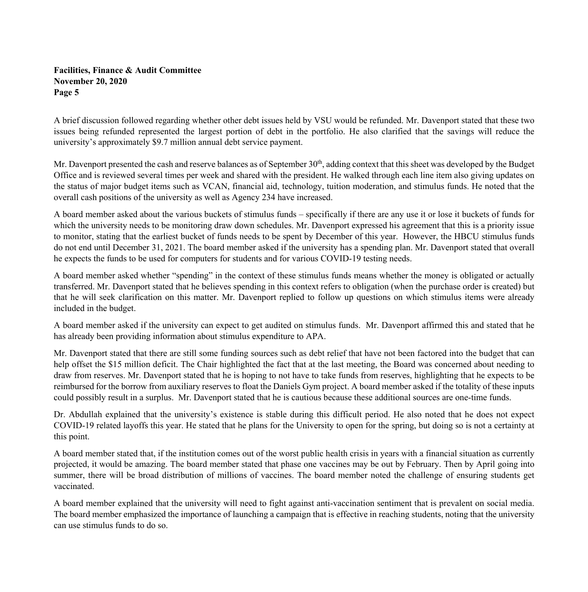A brief discussion followed regarding whether other debt issues held by VSU would be refunded. Mr. Davenport stated that these two issues being refunded represented the largest portion of debt in the portfolio. He also clarified that the savings will reduce the university's approximately \$9.7 million annual debt service payment.

Mr. Davenport presented the cash and reserve balances as of September 30<sup>th</sup>, adding context that this sheet was developed by the Budget Office and is reviewed several times per week and shared with the president. He walked through each line item also giving updates on the status of major budget items such as VCAN, financial aid, technology, tuition moderation, and stimulus funds. He noted that the overall cash positions of the university as well as Agency 234 have increased.

A board member asked about the various buckets of stimulus funds – specifically if there are any use it or lose it buckets of funds for which the university needs to be monitoring draw down schedules. Mr. Davenport expressed his agreement that this is a priority issue to monitor, stating that the earliest bucket of funds needs to be spent by December of this year. However, the HBCU stimulus funds do not end until December 31, 2021. The board member asked if the university has a spending plan. Mr. Davenport stated that overall he expects the funds to be used for computers for students and for various COVID-19 testing needs.

A board member asked whether "spending" in the context of these stimulus funds means whether the money is obligated or actually transferred. Mr. Davenport stated that he believes spending in this context refers to obligation (when the purchase order is created) but that he will seek clarification on this matter. Mr. Davenport replied to follow up questions on which stimulus items were already included in the budget.

A board member asked if the university can expect to get audited on stimulus funds. Mr. Davenport affirmed this and stated that he has already been providing information about stimulus expenditure to APA.

Mr. Davenport stated that there are still some funding sources such as debt relief that have not been factored into the budget that can help offset the \$15 million deficit. The Chair highlighted the fact that at the last meeting, the Board was concerned about needing to draw from reserves. Mr. Davenport stated that he is hoping to not have to take funds from reserves, highlighting that he expects to be reimbursed for the borrow from auxiliary reserves to float the Daniels Gym project. A board member asked if the totality of these inputs could possibly result in a surplus. Mr. Davenport stated that he is cautious because these additional sources are one-time funds.

Dr. Abdullah explained that the university's existence is stable during this difficult period. He also noted that he does not expect COVID-19 related layoffs this year. He stated that he plans for the University to open for the spring, but doing so is not a certainty at this point.

A board member stated that, if the institution comes out of the worst public health crisis in years with a financial situation as currently projected, it would be amazing. The board member stated that phase one vaccines may be out by February. Then by April going into summer, there will be broad distribution of millions of vaccines. The board member noted the challenge of ensuring students get vaccinated.

A board member explained that the university will need to fight against anti-vaccination sentiment that is prevalent on social media. The board member emphasized the importance of launching a campaign that is effective in reaching students, noting that the university can use stimulus funds to do so.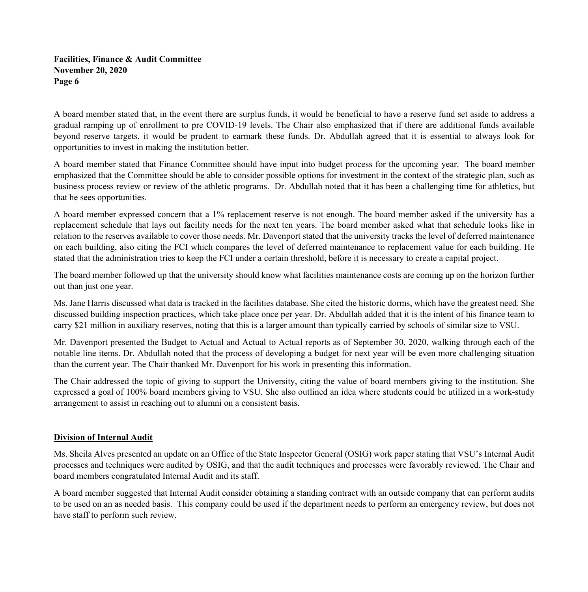A board member stated that, in the event there are surplus funds, it would be beneficial to have a reserve fund set aside to address a gradual ramping up of enrollment to pre COVID-19 levels. The Chair also emphasized that if there are additional funds available beyond reserve targets, it would be prudent to earmark these funds. Dr. Abdullah agreed that it is essential to always look for opportunities to invest in making the institution better.

A board member stated that Finance Committee should have input into budget process for the upcoming year. The board member emphasized that the Committee should be able to consider possible options for investment in the context of the strategic plan, such as business process review or review of the athletic programs. Dr. Abdullah noted that it has been a challenging time for athletics, but that he sees opportunities.

A board member expressed concern that a 1% replacement reserve is not enough. The board member asked if the university has a replacement schedule that lays out facility needs for the next ten years. The board member asked what that schedule looks like in relation to the reserves available to cover those needs. Mr. Davenport stated that the university tracks the level of deferred maintenance on each building, also citing the FCI which compares the level of deferred maintenance to replacement value for each building. He stated that the administration tries to keep the FCI under a certain threshold, before it is necessary to create a capital project.

The board member followed up that the university should know what facilities maintenance costs are coming up on the horizon further out than just one year.

Ms. Jane Harris discussed what data is tracked in the facilities database. She cited the historic dorms, which have the greatest need. She discussed building inspection practices, which take place once per year. Dr. Abdullah added that it is the intent of his finance team to carry \$21 million in auxiliary reserves, noting that this is a larger amount than typically carried by schools of similar size to VSU.

Mr. Davenport presented the Budget to Actual and Actual to Actual reports as of September 30, 2020, walking through each of the notable line items. Dr. Abdullah noted that the process of developing a budget for next year will be even more challenging situation than the current year. The Chair thanked Mr. Davenport for his work in presenting this information.

The Chair addressed the topic of giving to support the University, citing the value of board members giving to the institution. She expressed a goal of 100% board members giving to VSU. She also outlined an idea where students could be utilized in a work-study arrangement to assist in reaching out to alumni on a consistent basis.

#### **Division of Internal Audit**

Ms. Sheila Alves presented an update on an Office of the State Inspector General (OSIG) work paper stating that VSU's Internal Audit processes and techniques were audited by OSIG, and that the audit techniques and processes were favorably reviewed. The Chair and board members congratulated Internal Audit and its staff.

A board member suggested that Internal Audit consider obtaining a standing contract with an outside company that can perform audits to be used on an as needed basis. This company could be used if the department needs to perform an emergency review, but does not have staff to perform such review.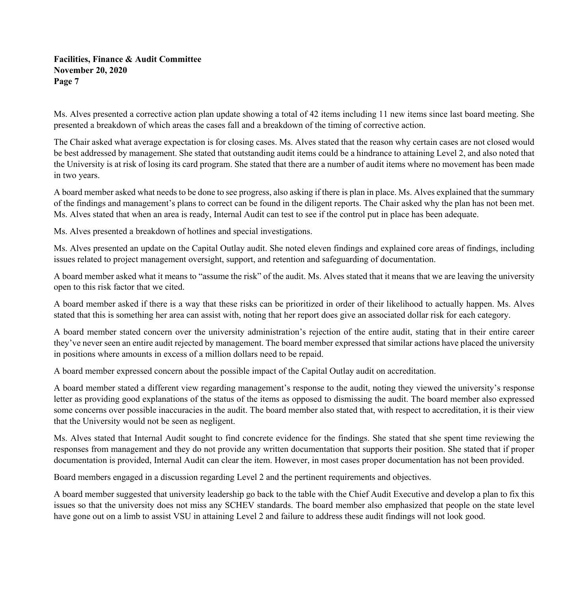Ms. Alves presented a corrective action plan update showing a total of 42 items including 11 new items since last board meeting. She presented a breakdown of which areas the cases fall and a breakdown of the timing of corrective action.

The Chair asked what average expectation is for closing cases. Ms. Alves stated that the reason why certain cases are not closed would be best addressed by management. She stated that outstanding audit items could be a hindrance to attaining Level 2, and also noted that the University is at risk of losing its card program. She stated that there are a number of audit items where no movement has been made in two years.

A board member asked what needs to be done to see progress, also asking if there is plan in place. Ms. Alves explained that the summary of the findings and management's plans to correct can be found in the diligent reports. The Chair asked why the plan has not been met. Ms. Alves stated that when an area is ready, Internal Audit can test to see if the control put in place has been adequate.

Ms. Alves presented a breakdown of hotlines and special investigations.

Ms. Alves presented an update on the Capital Outlay audit. She noted eleven findings and explained core areas of findings, including issues related to project management oversight, support, and retention and safeguarding of documentation.

A board member asked what it means to "assume the risk" of the audit. Ms. Alves stated that it means that we are leaving the university open to this risk factor that we cited.

A board member asked if there is a way that these risks can be prioritized in order of their likelihood to actually happen. Ms. Alves stated that this is something her area can assist with, noting that her report does give an associated dollar risk for each category.

A board member stated concern over the university administration's rejection of the entire audit, stating that in their entire career they've never seen an entire audit rejected by management. The board member expressed that similar actions have placed the university in positions where amounts in excess of a million dollars need to be repaid.

A board member expressed concern about the possible impact of the Capital Outlay audit on accreditation.

A board member stated a different view regarding management's response to the audit, noting they viewed the university's response letter as providing good explanations of the status of the items as opposed to dismissing the audit. The board member also expressed some concerns over possible inaccuracies in the audit. The board member also stated that, with respect to accreditation, it is their view that the University would not be seen as negligent.

Ms. Alves stated that Internal Audit sought to find concrete evidence for the findings. She stated that she spent time reviewing the responses from management and they do not provide any written documentation that supports their position. She stated that if proper documentation is provided, Internal Audit can clear the item. However, in most cases proper documentation has not been provided.

Board members engaged in a discussion regarding Level 2 and the pertinent requirements and objectives.

A board member suggested that university leadership go back to the table with the Chief Audit Executive and develop a plan to fix this issues so that the university does not miss any SCHEV standards. The board member also emphasized that people on the state level have gone out on a limb to assist VSU in attaining Level 2 and failure to address these audit findings will not look good.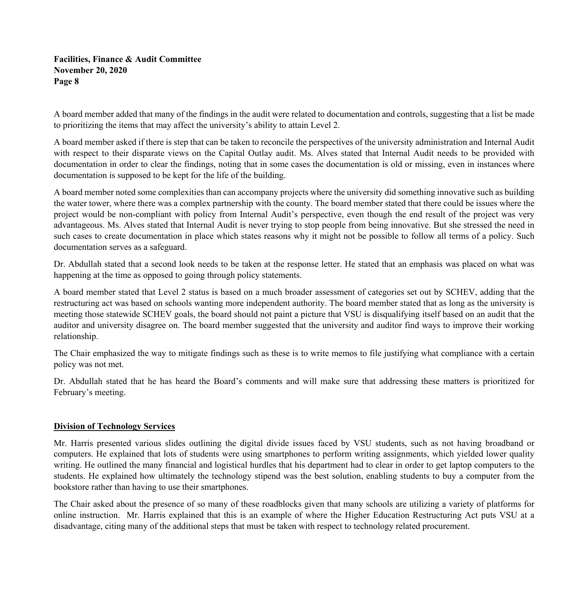A board member added that many of the findings in the audit were related to documentation and controls, suggesting that a list be made to prioritizing the items that may affect the university's ability to attain Level 2.

A board member asked if there is step that can be taken to reconcile the perspectives of the university administration and Internal Audit with respect to their disparate views on the Capital Outlay audit. Ms. Alves stated that Internal Audit needs to be provided with documentation in order to clear the findings, noting that in some cases the documentation is old or missing, even in instances where documentation is supposed to be kept for the life of the building.

A board member noted some complexities than can accompany projects where the university did something innovative such as building the water tower, where there was a complex partnership with the county. The board member stated that there could be issues where the project would be non-compliant with policy from Internal Audit's perspective, even though the end result of the project was very advantageous. Ms. Alves stated that Internal Audit is never trying to stop people from being innovative. But she stressed the need in such cases to create documentation in place which states reasons why it might not be possible to follow all terms of a policy. Such documentation serves as a safeguard.

Dr. Abdullah stated that a second look needs to be taken at the response letter. He stated that an emphasis was placed on what was happening at the time as opposed to going through policy statements.

A board member stated that Level 2 status is based on a much broader assessment of categories set out by SCHEV, adding that the restructuring act was based on schools wanting more independent authority. The board member stated that as long as the university is meeting those statewide SCHEV goals, the board should not paint a picture that VSU is disqualifying itself based on an audit that the auditor and university disagree on. The board member suggested that the university and auditor find ways to improve their working relationship.

The Chair emphasized the way to mitigate findings such as these is to write memos to file justifying what compliance with a certain policy was not met.

Dr. Abdullah stated that he has heard the Board's comments and will make sure that addressing these matters is prioritized for February's meeting.

# **Division of Technology Services**

Mr. Harris presented various slides outlining the digital divide issues faced by VSU students, such as not having broadband or computers. He explained that lots of students were using smartphones to perform writing assignments, which yielded lower quality writing. He outlined the many financial and logistical hurdles that his department had to clear in order to get laptop computers to the students. He explained how ultimately the technology stipend was the best solution, enabling students to buy a computer from the bookstore rather than having to use their smartphones.

The Chair asked about the presence of so many of these roadblocks given that many schools are utilizing a variety of platforms for online instruction. Mr. Harris explained that this is an example of where the Higher Education Restructuring Act puts VSU at a disadvantage, citing many of the additional steps that must be taken with respect to technology related procurement.